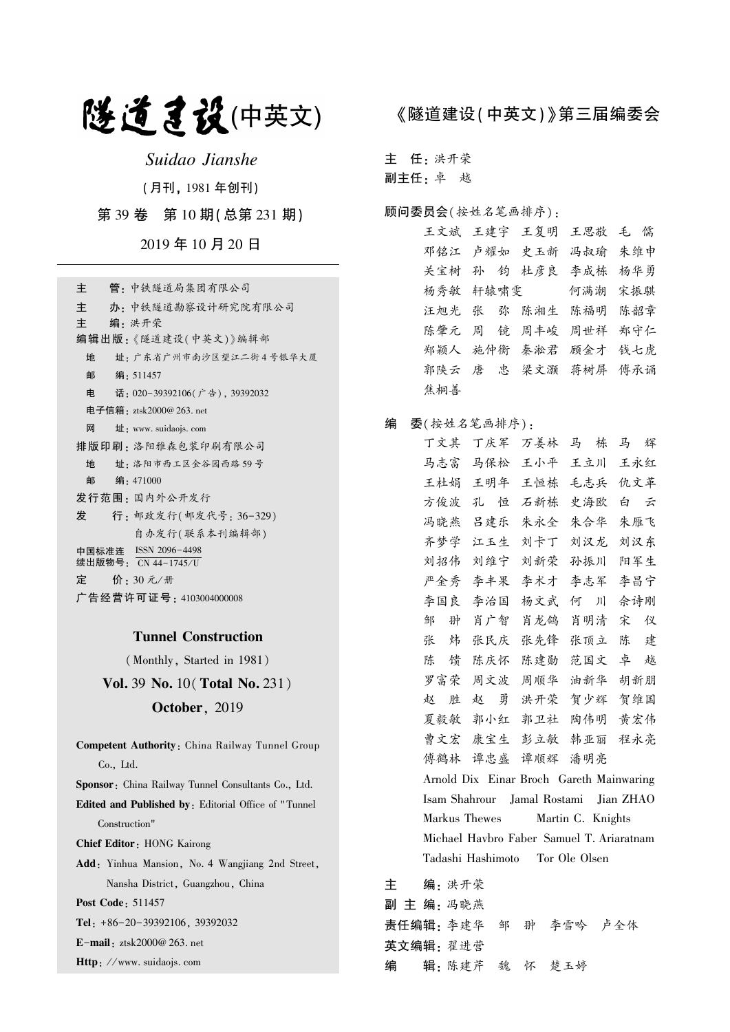# 隧道建设(中英文)

Suidao Jianshe

(月刊, 1981 年创刊)

第 39 卷 第 10 期(总第 231 期)

2019 年 10 月 20 日

| 管 - 中铁隧道局集团有限公司<br>主                        |
|---------------------------------------------|
| 主<br>办 · 中铁隧道勘察设计研究院有限公司                    |
| 主<br>编:洪开荣                                  |
| 编辑出版:《隧道建设(中英文)》编辑部                         |
| 址: 广东省广州市南沙区望江二街4号银华大厦<br>地                 |
| 邮<br>编:511457                               |
| 电<br>话: 020-39392106(广告), 39392032          |
| 电子信箱:ztsk2000@ 263. net                     |
| 网<br>址: www. suidaojs. com                  |
| 排版印刷: 洛阳雅森包装印刷有限公司                          |
| 址 · 洛阳市西工区金谷园西路 59号<br>地                    |
| 邮<br>编:471000                               |
| 发行范围:国内外公开发行                                |
| 发<br>行: 邮政发行(邮发代号: 36-329)                  |
| 自办发行(联系本刊编辑部)                               |
| 中国标准连 ISSN 2096-4498<br>续出版物号: CN 44−1745∕U |
| 定   价: 30 元/册                               |
| 广告经营许可证号 : 4103004000008                    |

## Tunnel Construction

(Monthly, Started in 1981)

Vol. 39 No. 10(Total No. 231) October, 2019

Competent Authority: China Railway Tunnel Group Co., Ltd. Sponsor: China Railway Tunnel Consultants Co., Ltd. Edited and Published by: Editorial Office of " Tunnel Construction" Chief Editor: HONG Kairong Add: Yinhua Mansion, No. 4 Wangjiang 2nd Street, Nansha District, Guangzhou, China Post Code: 511457 Tel: +86-20-39392106, 39392032 E-mail: ztsk2000@ 263. net

Http: //www. suidaojs. com

## 《隧道建设(中英文)》第三届编委会

主 任: 洪开荣

副主任: 卓 越

### 顾问委员会(按姓名笔画排序):

王文斌 王建宇 王复明 王思敬 毛 儒 邓铭江 卢耀如 史玉新 冯叔瑜 朱维申 关宝树 孙 钧 杜彦良 李成栋 杨华勇 杨秀敏 轩辕啸雯 何满潮 宋振骐 汪旭光 张 弥 陈湘生 陈福明 陈韶章 陈肇元 周 镜 周丰峻 周世祥 郑守仁 郑颖人 施仲衡 秦淞君 顾金才 钱七虎 郭陕云 唐 忠 梁文灏 蒋树屏 傅承诵 焦桐善

## 编 委(按姓名笔画排序):

丁文其 丁庆军 万姜林 马 栋 马 辉 马志富 马保松 王小平 王立川 王永红 王杜娟 王明年 王恒栋 毛志兵 仇文革 方俊波 孔 恒 石新栋 史海欧 白 云 冯晓燕 吕建乐 朱永全 朱合华 朱雁飞 齐梦学 江玉生 刘卡丁 刘汉龙 刘汉东 刘招伟 刘维宁 刘新荣 孙振川 阳军生 严金秀 李丰果 李术才 李志军 李昌宁 李国良 李治国 杨文武 何 川 佘诗刚 邹 翀 肖广智 肖龙鸽 肖明清 宋 仪 张 炜 张民庆 张先锋 张顶立 陈 建 陈 馈 陈庆怀 陈建勋 范国文 卓 越 罗富荣 周文波 周顺华 油新华 胡新朋 赵 胜 赵 勇 洪开荣 贺少辉 贺维国 夏毅敏 郭小红 郭卫社 陶伟明 黄宏伟 曹文宏 康宝生 彭立敏 韩亚丽 程永亮 傅鹤林 谭忠盛 谭顺辉 潘明亮 Arnold Dix Einar Broch Gareth Mainwaring Isam Shahrour Jamal Rostami Jian ZHAO Markus Thewes Martin C. Knights Michael Havbro Faber Samuel T. Ariaratnam Tadashi Hashimoto Tor Ole Olsen

主 编: 洪开荣 副 主 编: 冯晓燕 责任编辑: 李建华 邹 翀 李雪吟 卢全体 英文编辑: 翟进营 编 辑: 陈建芹 魏 怀 楚玉婷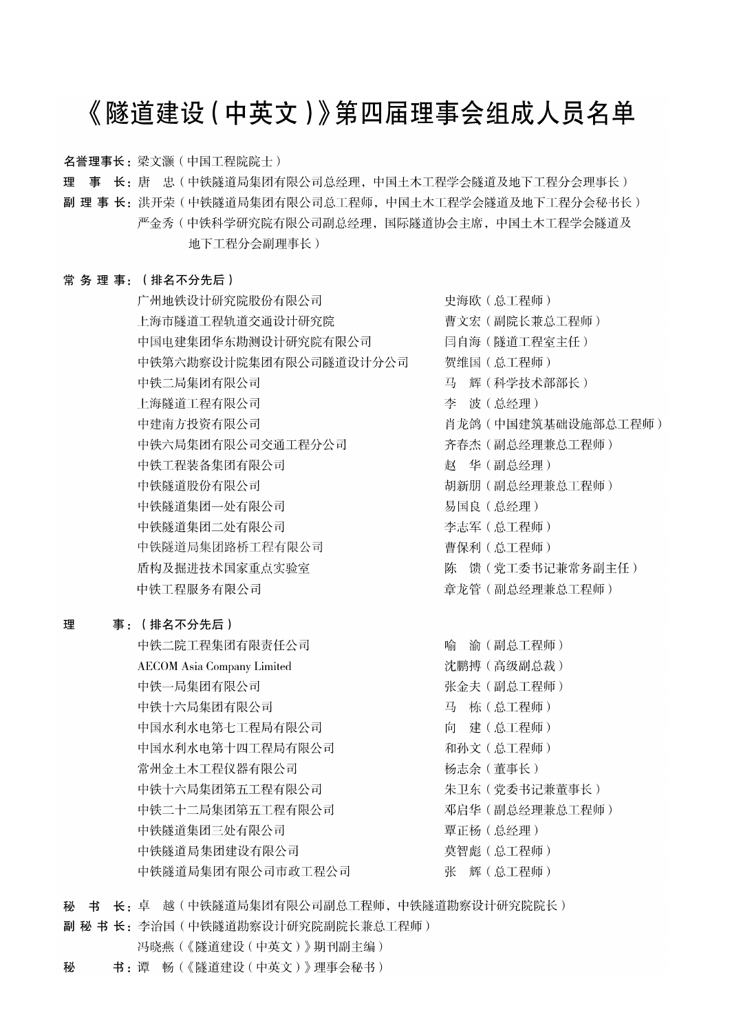# 《隧道建设 (中英文)》第四届理事会组成人员名单

名誉理事长: 梁文灏 (中国工程院院士)

理 事 长: 唐 忠(中铁隧道局集团有限公司总经理, 中国土木工程学会隧道及地下工程分会理事长)

副 理 事 长:洪开荣(中铁隧道局集团有限公司总工程师,中国土木工程学会隧道及地下工程分会秘书长) 严金秀 ( 中铁科学研究院有限公司副总经理, 国际隧道协会主席, 中国土木工程学会隧道及 地下工程分会副理事长)

## 常务理事: (排名不分先后)

广州地铁设计研究院股份有限公司 上海市隧道工程轨道交通设计研究院 中国电建集团华东勘测设计研究院有限公司 中铁第六勘察设计院集团有限公司隧道设计分公司 中铁二局集团有限公司 上海隧道工程有限公司 中建南方投资有限公司 中铁六局集团有限公司交通工程分公司 中铁工程装备集团有限公司 中铁隧道股份有限公司 中铁隧道集团一处有限公司 中铁隧道集团二处有限公司 中铁隧道局集团路桥工程有限公司 盾构及掘进技术国家重点实验室 中铁工程服务有限公司

#### 理 事: (排名不分先后)

中铁二院工程集团有限责任公司 **AECOM** Asia Company Limited 中铁一局集团有限公司 中铁十六局集团有限公司 中国水利水电第七工程局有限公司 中国水利水电第十四工程局有限公司 常州金土木工程仪器有限公司 中铁十六局集团第五工程有限公司 中铁二十二局集团第五工程有限公司 中铁隧道集团三处有限公司 中铁隧道局集团建设有限公司 中铁隧道局集团有限公司市政工程公司

史海欧 (总工程师) 曹文宏(副院长兼总工程师) 闫自海(隧道工程室主任) 贺维国 (总工程师) 马 辉(科学技术部部长) 李 波(总经理) 肖龙鸽 (中国建筑基础设施部总工程师) 齐春杰 (副总经理兼总工程师) 赵 华(副总经理) 胡新朋 (副总经理兼总工程师) 易国良 (总经理) 李志军 (总工程师) 曹保利 (总工程师) 陈 馈 (党工委书记兼常务副主任) 章龙管(副总经理兼总工程师)

喻 渝(副总工程师) 沈鹏搏(高级副总裁) 张金夫 (副总工程师) 马 栋(总工程师) 向 建(总工程师) 和孙文 (总工程师) 杨志余(董事长) 朱卫东 (党委书记兼董事长) 邓启华 (副总经理兼总工程师) 覃正杨 (总经理) 莫智彪 (总工程师) 张 辉(总工程师)

秘 书 长: 卓 越(中铁隧道局集团有限公司副总工程师,中铁隧道勘察设计研究院院长)

副 秘 书 长: 李治国 (中铁隧道勘察设计研究院副院长兼总工程师)

- 冯晓燕(《隧道建设(中英文)》期刊副主编)
- 书:谭 畅(《隧道建设(中英文)》理事会秘书) 秘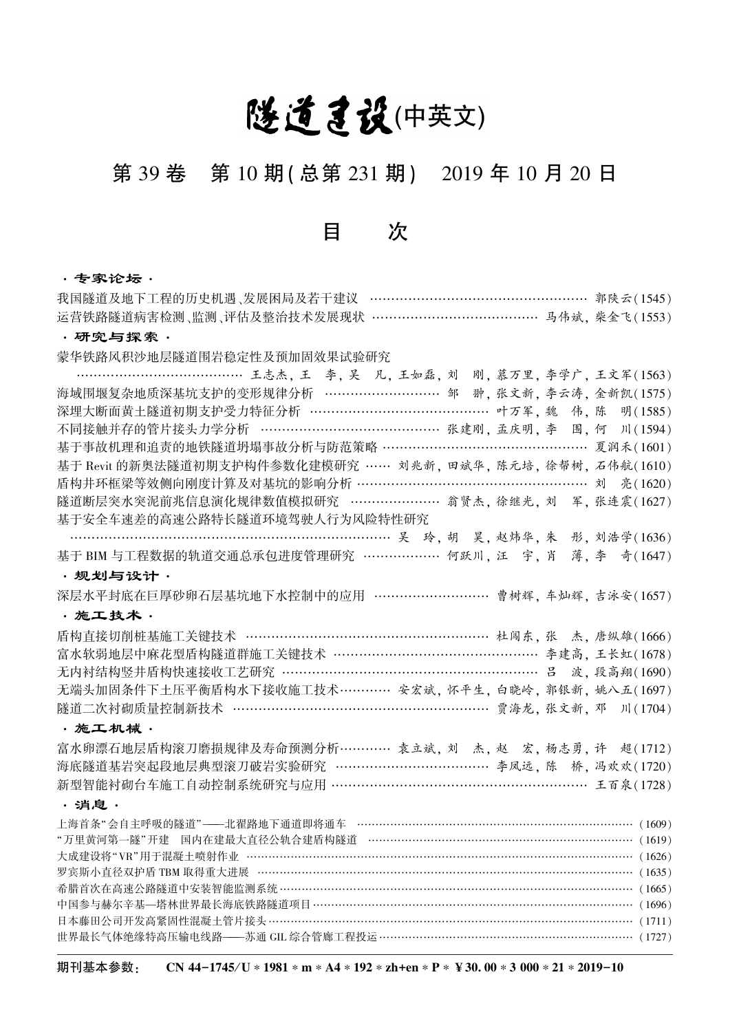# 隧道建设(中英文)

# 第 39 卷 第 10 期(总第 231 期) 2019 年 10 月 20 日

## 目 次

## ·专家论坛·

| 我国隧道及地下工程的历史机遇、发展困局及若干建议 …………………………………………… 郭陕云(1545)                                                                         |
|------------------------------------------------------------------------------------------------------------------------------|
| 运营铁路隧道病害检测、监测、评估及整治技术发展现状 …………………………………… 马伟斌, 柴金飞(1553)                                                                      |
| ・研究与探索・                                                                                                                      |
| 蒙华铁路风积沙地层隧道围岩稳定性及预加固效果试验研究                                                                                                   |
| …………………………………… 王志杰, 王 李, 吴 凡, 王如磊, 刘 刚, 慕万里, 李学广, 王文军(1563)                                                                  |
| 海域围堰复杂地质深基坑支护的变形规律分析 ………………………… 邹 翀, 张文新, 李云涛, 金新凯(1575)                                                                     |
| 深埋大断面黄土隧道初期支护受力特征分析 ……………………………………… 叶万军, 魏 伟, 陈 明(1585)                                                                      |
| 不同接触并存的管片接头力学分析 ……………………………………… 张建刚, 孟庆明, 李 围, 何 川(1594)                                                                     |
| 基于事故机理和追责的地铁隧道坍塌事故分析与防范策略 ………………………………………… 夏润禾(1601)                                                                         |
| 基于 Revit 的新奥法隧道初期支护构件参数化建模研究 …… 刘兆新, 田斌华, 陈元培, 徐帮树, 石伟航(1610)                                                                |
| 盾构井环框梁等效侧向刚度计算及对基坑的影响分析 ……………………………………………… 刘 亮(1620)                                                                         |
| 隧道断层突水突泥前兆信息演化规律数值模拟研究 …………………… 翁贤杰,徐继光, 刘 军, 张连震(1627)                                                                      |
| 基于安全车速差的高速公路特长隧道环境驾驶人行为风险特性研究                                                                                                |
|                                                                                                                              |
| 基于 BIM 与工程数据的轨道交通总承包进度管理研究 ……………… 何跃川, 汪 字, 肖 薄, 李 奇(1647)                                                                   |
| ・规划与设计・                                                                                                                      |
| 深层水平封底在巨厚砂卵石层基坑地下水控制中的应用 ………………………… 曹树辉, 车灿辉, 吉泳安(1657)                                                                      |
| ·施工技术·                                                                                                                       |
| 盾构直接切削桩基施工关键技术 …………………………………………………… 杜闯东, 张 杰, 唐纵雄(1666)                                                                      |
| 富水软弱地层中麻花型盾构隧道群施工关键技术 ………………………………………… 李建高, 王长虹(1678)                                                                        |
| 无内衬结构竖井盾构快速接收工艺研究 ………………………………………………………… 吕 波, 段高翔(1690)                                                                      |
| 无端头加固条件下土压平衡盾构水下接收施工技术………… 安宏斌, 怀平生, 白晓岭, 郭银新, 姚八五(1697)                                                                     |
| 隧道二次衬砌质量控制新技术 ……………………………………………………… 贾海龙, 张文新, 邓 川(1704)                                                                      |
| ·施工机械·                                                                                                                       |
| 富水卵漂石地层盾构滚刀磨损规律及寿命预测分析………… 袁立斌, 刘 杰, 赵 宏, 杨志勇, 许 超(1712)                                                                     |
| 海底隧道基岩突起段地层典型滚刀破岩实验研究 ………………………………… 李凤远, 陈 桥, 冯欢欢(1720)                                                                      |
| 新型智能衬砌台车施工自动控制系统研究与应用 …………………………………………………… 王百泉(1728)                                                                         |
| ・消息.                                                                                                                         |
| 上海首条"会自主呼吸的隧道"——北翟路地下通道即将通车 ………………………………………………………………… (1609)                                                                 |
| "万里黄河第一隧"开建 国内在建最大直径公轨合建盾构隧道 ……………………………………………………………… (1619)                                                                 |
|                                                                                                                              |
| 罗宾斯小直径双护盾 TBM 取得重大进展 ………………………………………………………………………………………… (1635)                                                               |
| 希腊首次在高速公路隧道中安装智能监测系统 …………………………………………………………………………………… (1665)                                                                 |
| 中国参与赫尔辛基—塔林世界最长海底铁路隧道项目 …………………………………………………………………………… (1696)<br>日本藤田公司开发高紧固性混凝土管片接头 ……………………………………………………………………………………… (1711) |
| 世界最长气体绝缘特高压输电线路——苏通 GIL 综合管廊工程投运……………………………………………………………… (1727)                                                              |
|                                                                                                                              |

期刊基本参数: CN 44-1745/U ∗ 1981 \* m \* A4 \* 192 \* zh+en \* P \* ¥ 30. 00 \* 3 000 \* 21 \* 2019-10